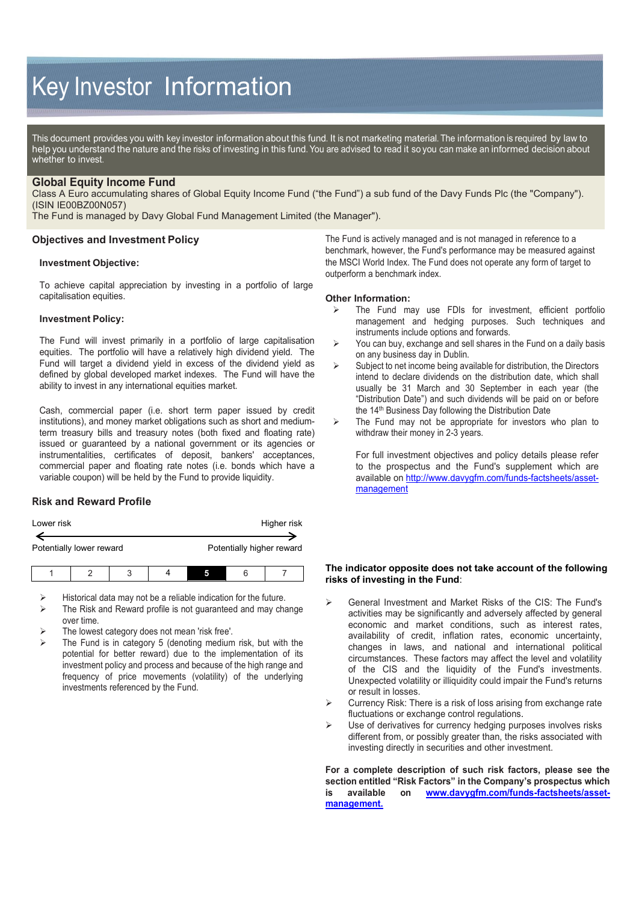# Key Investor Information

This document provides you with key investor information about this fund. It is not marketing material. The information is required by law to help you understand the nature and the risks of investing in this fund. You are advised to read it so you can make an informed decision about whether to invest.

### **Global Equity Income Fund**

Class A Euro accumulating shares of Global Equity Income Fund ("the Fund") a sub fund of the Davy Funds Plc (the "Company"). (ISIN IE00BZ00N057)

The Fund is managed by Davy Global Fund Management Limited (the Manager").

#### **Objectives and Investment Policy**

#### **Investment Objective:**

To achieve capital appreciation by investing in a portfolio of large capitalisation equities.

#### **Investment Policy:**

The Fund will invest primarily in a portfolio of large capitalisation equities. The portfolio will have a relatively high dividend yield. The Fund will target a dividend yield in excess of the dividend yield as defined by global developed market indexes. The Fund will have the ability to invest in any international equities market.

Cash, commercial paper (i.e. short term paper issued by credit institutions), and money market obligations such as short and mediumterm treasury bills and treasury notes (both fixed and floating rate) issued or guaranteed by a national government or its agencies or instrumentalities, certificates of deposit, bankers' acceptances, commercial paper and floating rate notes (i.e. bonds which have a variable coupon) will be held by the Fund to provide liquidity.

## **Risk and Reward Profile**

| Lower risk |                          |   |  | Higher risk |  |                           |
|------------|--------------------------|---|--|-------------|--|---------------------------|
|            | Potentially lower reward |   |  |             |  | Potentially higher reward |
|            |                          | ີ |  |             |  |                           |

Historical data may not be a reliable indication for the future.

- The Risk and Reward profile is not guaranteed and may change over time.
- The lowest category does not mean 'risk free'.
- The Fund is in category 5 (denoting medium risk, but with the potential for better reward) due to the implementation of its investment policy and process and because of the high range and frequency of price movements (volatility) of the underlying investments referenced by the Fund.

The Fund is actively managed and is not managed in reference to a benchmark, however, the Fund's performance may be measured against the MSCI World Index. The Fund does not operate any form of target to outperform a benchmark index.

#### **Other Information:**

- The Fund may use FDIs for investment, efficient portfolio management and hedging purposes. Such techniques and instruments include options and forwards.
- $\triangleright$  You can buy, exchange and sell shares in the Fund on a daily basis on any business day in Dublin.
- $\triangleright$  Subject to net income being available for distribution, the Directors intend to declare dividends on the distribution date, which shall usually be 31 March and 30 September in each year (the "Distribution Date") and such dividends will be paid on or before the 14<sup>th</sup> Business Day following the Distribution Date
- $\triangleright$  The Fund may not be appropriate for investors who plan to withdraw their money in 2-3 years.

For full investment objectives and policy details please refer to the prospectus and the Fund's supplement which are available on [http://www.davygfm.com/funds-factsheets/asset](http://www.davygfm.com/funds-factsheets/asset-management)[management](http://www.davygfm.com/funds-factsheets/asset-management)

#### **The indicator opposite does not take account of the following risks of investing in the Fund**:

- General Investment and Market Risks of the CIS: The Fund's activities may be significantly and adversely affected by general economic and market conditions, such as interest rates, availability of credit, inflation rates, economic uncertainty, changes in laws, and national and international political circumstances. These factors may affect the level and volatility of the CIS and the liquidity of the Fund's investments. Unexpected volatility or illiquidity could impair the Fund's returns or result in losses.
- Currency Risk: There is a risk of loss arising from exchange rate fluctuations or exchange control regulations.
- $\triangleright$  Use of derivatives for currency hedging purposes involves risks different from, or possibly greater than, the risks associated with investing directly in securities and other investment.

**For a complete description of such risk factors, please see the section entitled "Risk Factors" in the Company's prospectus which is available on [www.davygfm.com/funds-factsheets/asset](http://www.davygfm.com/funds-factsheets/asset-management)[management.](http://www.davygfm.com/funds-factsheets/asset-management)**